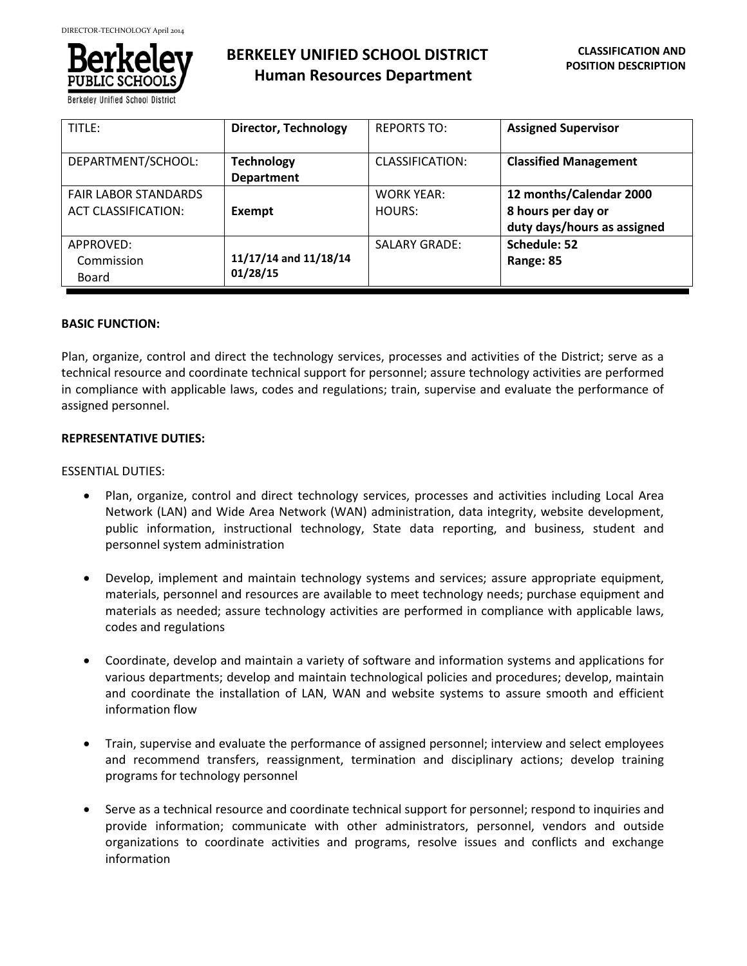

**Berkeley Unified School Dis** 

| TITLE:                                                    | <b>Director, Technology</b>            | <b>REPORTS TO:</b>          | <b>Assigned Supervisor</b>                                                   |
|-----------------------------------------------------------|----------------------------------------|-----------------------------|------------------------------------------------------------------------------|
| DEPARTMENT/SCHOOL:                                        | <b>Technology</b><br><b>Department</b> | CLASSIFICATION:             | <b>Classified Management</b>                                                 |
| <b>FAIR LABOR STANDARDS</b><br><b>ACT CLASSIFICATION:</b> | Exempt                                 | <b>WORK YEAR:</b><br>HOURS: | 12 months/Calendar 2000<br>8 hours per day or<br>duty days/hours as assigned |
| APPROVED:<br>Commission<br>Board                          | 11/17/14 and 11/18/14<br>01/28/15      | <b>SALARY GRADE:</b>        | Schedule: 52<br>Range: 85                                                    |

## **BASIC FUNCTION:**

Plan, organize, control and direct the technology services, processes and activities of the District; serve as a technical resource and coordinate technical support for personnel; assure technology activities are performed in compliance with applicable laws, codes and regulations; train, supervise and evaluate the performance of assigned personnel.

## **REPRESENTATIVE DUTIES:**

## ESSENTIAL DUTIES:

- Plan, organize, control and direct technology services, processes and activities including Local Area Network (LAN) and Wide Area Network (WAN) administration, data integrity, website development, public information, instructional technology, State data reporting, and business, student and personnel system administration
- Develop, implement and maintain technology systems and services; assure appropriate equipment, materials, personnel and resources are available to meet technology needs; purchase equipment and materials as needed; assure technology activities are performed in compliance with applicable laws, codes and regulations
- Coordinate, develop and maintain a variety of software and information systems and applications for various departments; develop and maintain technological policies and procedures; develop, maintain and coordinate the installation of LAN, WAN and website systems to assure smooth and efficient information flow
- Train, supervise and evaluate the performance of assigned personnel; interview and select employees and recommend transfers, reassignment, termination and disciplinary actions; develop training programs for technology personnel
- Serve as a technical resource and coordinate technical support for personnel; respond to inquiries and provide information; communicate with other administrators, personnel, vendors and outside organizations to coordinate activities and programs, resolve issues and conflicts and exchange information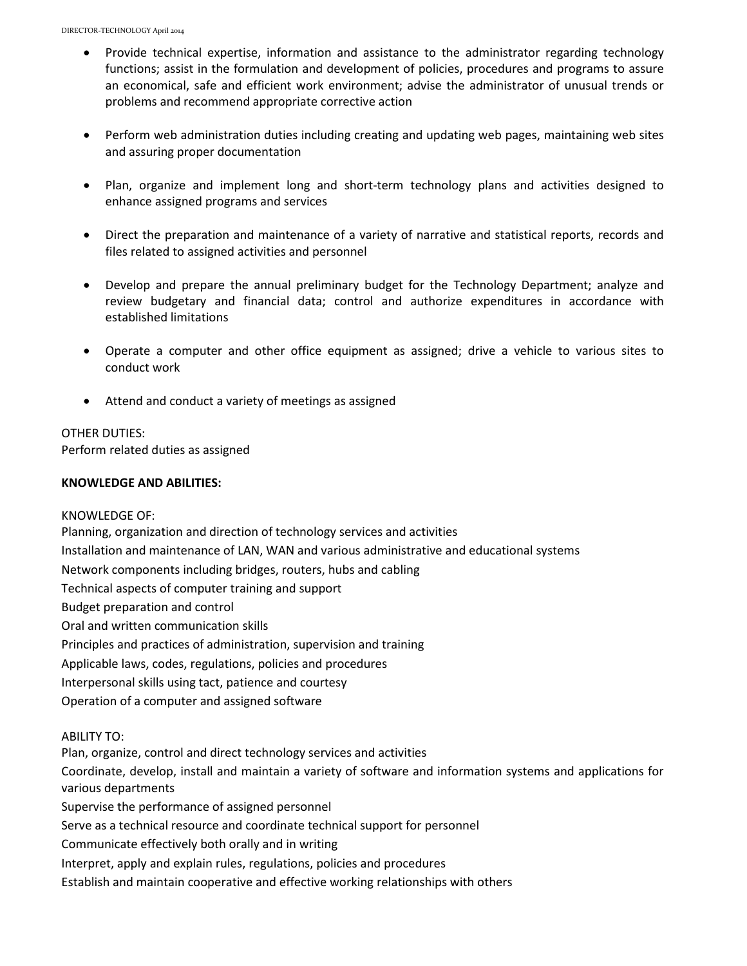- Provide technical expertise, information and assistance to the administrator regarding technology functions; assist in the formulation and development of policies, procedures and programs to assure an economical, safe and efficient work environment; advise the administrator of unusual trends or problems and recommend appropriate corrective action
- Perform web administration duties including creating and updating web pages, maintaining web sites and assuring proper documentation
- Plan, organize and implement long and short-term technology plans and activities designed to enhance assigned programs and services
- Direct the preparation and maintenance of a variety of narrative and statistical reports, records and files related to assigned activities and personnel
- Develop and prepare the annual preliminary budget for the Technology Department; analyze and review budgetary and financial data; control and authorize expenditures in accordance with established limitations
- Operate a computer and other office equipment as assigned; drive a vehicle to various sites to conduct work
- Attend and conduct a variety of meetings as assigned

## OTHER DUTIES:

Perform related duties as assigned

## **KNOWLEDGE AND ABILITIES:**

#### KNOWLEDGE OF:

Planning, organization and direction of technology services and activities Installation and maintenance of LAN, WAN and various administrative and educational systems Network components including bridges, routers, hubs and cabling Technical aspects of computer training and support Budget preparation and control Oral and written communication skills Principles and practices of administration, supervision and training Applicable laws, codes, regulations, policies and procedures Interpersonal skills using tact, patience and courtesy Operation of a computer and assigned software

#### ABILITY TO:

Plan, organize, control and direct technology services and activities Coordinate, develop, install and maintain a variety of software and information systems and applications for various departments Supervise the performance of assigned personnel Serve as a technical resource and coordinate technical support for personnel Communicate effectively both orally and in writing Interpret, apply and explain rules, regulations, policies and procedures

Establish and maintain cooperative and effective working relationships with others